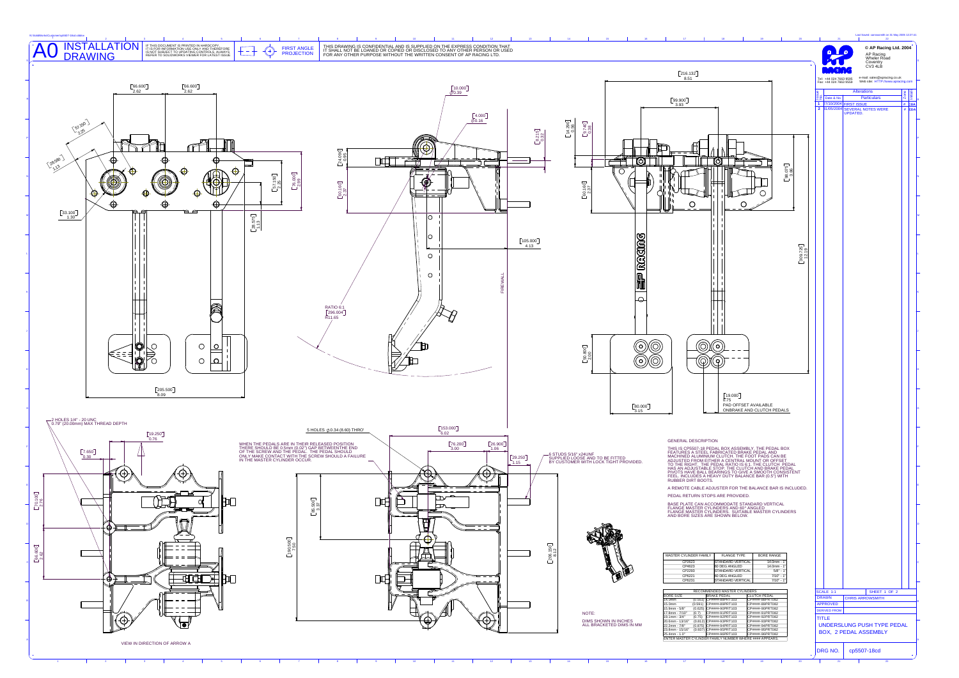

| N:\SolidWorks\Customer\cp5507-18cd.slddrw                                                                                                                                                                                                                                                                                                                                                                                                                                                                                                                                                          |                                                                                                                                                                                                                                                                                                                                                                                                                                                                                                                                                                                                      |                                                                                                                                    | Last Saved: carrowsmith on 31 May 2005 12:27:41                                                                             |
|----------------------------------------------------------------------------------------------------------------------------------------------------------------------------------------------------------------------------------------------------------------------------------------------------------------------------------------------------------------------------------------------------------------------------------------------------------------------------------------------------------------------------------------------------------------------------------------------------|------------------------------------------------------------------------------------------------------------------------------------------------------------------------------------------------------------------------------------------------------------------------------------------------------------------------------------------------------------------------------------------------------------------------------------------------------------------------------------------------------------------------------------------------------------------------------------------------------|------------------------------------------------------------------------------------------------------------------------------------|-----------------------------------------------------------------------------------------------------------------------------|
| INSTALLATION<br>DRAWING<br>A <sub>0</sub><br>IF THIS DOCUMENT IS PRINTED IN HARDCOPY,<br>IT IS FOR INFORMATION USE ONLY AND THEREFORE<br>IS NOT SUBJECT TO UPDATING CONTROLS. ALWAYS<br>REFER TO SOLIDWORKS VIEWER FOR LATEST ISSUE<br>THIS DRAWING IS CONFIDENTIAL AND IS SUPPLIED ON THE EXPRESS CONDITION THAT<br>IT SHALL NOT BE LOANED OR COPIED OR DISCLOSED TO ANY OTHER PERSON OR USED<br>FOR ANY OTHER PURPOSE WITHOUT THE WRITTEN CONSENT OF AP RACING LTD.<br><b>FIRST ANGLE</b><br>↔<br><b>PROJECTION</b>                                                                              |                                                                                                                                                                                                                                                                                                                                                                                                                                                                                                                                                                                                      |                                                                                                                                    | © AP Racing Ltd. 2004<br>AP Racing<br>Wheler Road<br>Coventry<br>CV3 4LB                                                    |
|                                                                                                                                                                                                                                                                                                                                                                                                                                                                                                                                                                                                    | $\left[\textbf{216.132}\right]$<br>8.51                                                                                                                                                                                                                                                                                                                                                                                                                                                                                                                                                              |                                                                                                                                    | e-mail: sales@apracing.co.uk<br>Web site: HTTP://www.apracing.cor                                                           |
| $\left[\begin{smallmatrix} 66.600\\ 2.62 \end{smallmatrix}\right]$<br>$\begin{bmatrix} 66.600 \\ 2.62 \end{bmatrix}$<br>$\left[\!\left[10.000\right]\!\right]$<br>$\bar{\phi}$ 0.39<br>$\frac{[4.000]}{\phi 0.16}$                                                                                                                                                                                                                                                                                                                                                                                 | $\sqrt[6]{99.900}$<br>3.93                                                                                                                                                                                                                                                                                                                                                                                                                                                                                                                                                                           | Tel: +44 024 7663 9595<br>Fax: +44 024 7663 9559<br>$32$ Date & No.<br>1 27/10/2004 FIRST ISSUE<br>2 31/05/2004 SEVERAL NOTES WERE | <b>Alterations</b><br><b>Particulars</b><br>$\begin{array}{c c}\n\hline\n\text{# CDA} \\ \hline\n\text{# CDA}\n\end{array}$ |
| (51.150)<br>$\begin{bmatrix} 14.290 \\ 0.56 \end{bmatrix}$<br>$\frac{[9.740]}{0.38}$<br>$\begin{bmatrix} 8 & 2 & 15 \\ 0 & 32 \end{bmatrix}$<br>رحله تر<br>⊮©<br>$\begin{bmatrix} 24.090 \\ 0.95 \\ 0.05 \end{bmatrix}$<br>28580)<br>ПШ<br>Φ<br>↔                                                                                                                                                                                                                                                                                                                                                  | O<br><u>(0)</u>                                                                                                                                                                                                                                                                                                                                                                                                                                                                                                                                                                                      |                                                                                                                                    |                                                                                                                             |
| ⊕<br>⊕<br>46<br>$\begin{bmatrix} 76.000 \\ 2.99 \end{bmatrix}$<br>$\begin{bmatrix} 57.150 \\ 2.25 \end{bmatrix}$<br>$^{\circledR}$<br>$\begin{bmatrix} 60.160 \end{bmatrix}$<br>$\begin{bmatrix} 60.160 \end{bmatrix}$<br>⊕<br>$\Theta$<br>$\Theta$<br>$\Theta$<br>вø<br>$\begin{array}{c} \boxed{33.100} \\ 1.30 \end{array}$<br>∣O ∶                                                                                                                                                                                                                                                             | $\begin{bmatrix} 98.075 \\ 3.86 \end{bmatrix}$<br>$\circ$<br>$\overline{O}$<br>$\circ$                                                                                                                                                                                                                                                                                                                                                                                                                                                                                                               |                                                                                                                                    |                                                                                                                             |
| $\begin{bmatrix} 28.575\\ 1.13 \end{bmatrix}$<br>$\circ$<br>$\left[\begin{smallmatrix} 105.000\\4.13 \end{smallmatrix}\right]$<br>$\circ$<br>$\circ$                                                                                                                                                                                                                                                                                                                                                                                                                                               | <b>EIP RECORG</b><br>$\begin{bmatrix} 309.725 \\ 12.19 \end{bmatrix}$                                                                                                                                                                                                                                                                                                                                                                                                                                                                                                                                |                                                                                                                                    |                                                                                                                             |
| a<br>RATIO 6:1<br>$\begin{bmatrix} 296.004 \\ R11.65 \end{bmatrix}$                                                                                                                                                                                                                                                                                                                                                                                                                                                                                                                                | $\overline{\circ}$                                                                                                                                                                                                                                                                                                                                                                                                                                                                                                                                                                                   |                                                                                                                                    |                                                                                                                             |
| Ю<br>$\circ$<br>$\circ$<br>$\left[\begin{smallmatrix} 50.800\\ 2.00 \end{smallmatrix}\right]$<br>$\circ$<br> ഠ <br>Ю                                                                                                                                                                                                                                                                                                                                                                                                                                                                               | <u>ල</u><br>$\circledcirc$<br>(ව)<br>$\copyright$<br>$\textcircled{D}(\mathbb{Q})$                                                                                                                                                                                                                                                                                                                                                                                                                                                                                                                   |                                                                                                                                    |                                                                                                                             |
| $\left[\textbf{205.500}\right]$<br>◯ HOLES 1/4" - 20 UNC<br>◯ 0.79" (20.00mm) MAX THREAD DEPTH                                                                                                                                                                                                                                                                                                                                                                                                                                                                                                     | [19.000]<br>0.75<br>PAD OFFSET AVAILABLE<br>$\boxed{80.000}$<br>ONBRAKE AND CLUTCH PEDALS<br>3.15                                                                                                                                                                                                                                                                                                                                                                                                                                                                                                    |                                                                                                                                    |                                                                                                                             |
| [153.000]<br>5 HOLES Ø 0.34 (8.60) THRO'<br>6.02<br>$\left[\begin{matrix} 19.250\\ 0.76 \end{matrix}\right]$<br>$\boxed{76.200}$<br>$\sqrt{26.900}$<br>WHEN THE PEDALS ARE IN THEIR RELEASED POSITION<br>THERE SHOULD BE 0.5mm (0.02") GAP BETWEENTHE END<br>OF THE SCREW AND THE PEDAL. THE PEDAL SHOULD<br>1.06<br>3.00<br>[7.650]<br>–6 STUDS 5/16" x24UNF<br>SUPPLIED LOOSE AND TO BE FITTED<br>BY CUSTOMER WITH LOCK TIGHT PROVIDED.<br>ONLY MAKE CONTACT WITH THE SCREW SHOULD A FAILURE<br>IN THE MASTER CYLINDER OCCUR.<br>0.30<br>29.250<br>1.15<br>$\mathcal{B}$<br>$\Theta$<br>$\Theta$ | <b>GENERAL DESCRIPTION</b><br>THIS IS CP5507-18 PEDAL BOX ASSEMBLY. THE PEDAL BOX<br>FEATURES A STEEL FABRICATED BRAKE PEDAL AND<br>MACHINED ALUMINIUM CLUTCH. THE FOOT PADS CAN BE<br>ADJUSTED FROM EITHER A CENTRAL MOUNT OR OFFSET<br>TO THE RIGHT. THE PEDAL RATIO IS 8:1. THE CLUTCH PEDAL<br>HAS AN ADJUSTABLE STOP. THE CLUTCH AND BRAKE PEDAL<br>PIVOTS HAVE BALL BEARINGS TO GIVE A SMOOTH CONSISTENT<br>FEEL. INCLUDES A HEAVY DUTY BALANCE BAR (0.5") WITH<br>RUBBER DIRT BOOTS.<br>A REMOTE CABLE ADJUSTER FOR THE BALANCE BAR IS INCLUDED.                                              |                                                                                                                                    |                                                                                                                             |
| $\begin{bmatrix} 70.100 \\ 2.76 \end{bmatrix}$<br>$\begin{bmatrix} 2500 \\ -37 \end{bmatrix}$<br>口中<br>┳<br>ႜ႘ၟၟႝၑ<br>Ħ<br>⊕.<br><del>.</del><br>$\boldsymbol{\oplus}$<br>$\begin{bmatrix} 190.500 \end{bmatrix}$<br>$150$<br>$2$                                                                                                                                                                                                                                                                                                                                                                  | PEDAL RETURN STOPS ARE PROVIDED.<br>BASE PLATE CAN ACCOMMODATE STANDARD VERTICAL<br>FLANGE MASTER CYLINDERS AND 60*ANGLED<br>FLANGE MASTER CYLINDERS SUITABLE MASTER CYLINDERS<br>AND BORE SIZES ARE SHOWN BELOW.                                                                                                                                                                                                                                                                                                                                                                                    |                                                                                                                                    |                                                                                                                             |
| $\begin{bmatrix} 66.600\\ 2.62 \end{bmatrix}$<br>प्तवा<br>—<br>匝<br>∙⊕                                                                                                                                                                                                                                                                                                                                                                                                                                                                                                                             | MASTER CYLINDER FAMILY<br><b>FLANGE TYPE</b><br><b>BORE RANGE</b><br><b>STANDARD VERTICAL</b><br>CP2623<br>14.0mm -<br>60 DEG ANGLED<br>CP4623<br>14.0mm -<br>CP2293<br>STANDARD VERTICAL<br>$5/8$ " -<br>CP6221<br>60 DEG ANGLED<br>$7/10" -$<br>CP6231<br><b>STANDARD VERTICAL</b><br>$7/10" - ?$<br>RECOMMENDED MASTER CYLINDERS<br><b>BORE SIZE</b><br><b>BRAKE PEDAL</b><br>LUTCH PEDAL<br>CP####-88PRT082<br>14.0mm<br>(0.551) CP####-88PRT103                                                                                                                                                 | SCALE 1:1<br>DRAWN                                                                                                                 | SHEET 1 OF 2<br><b>CHRIS ARROWSMITH</b>                                                                                     |
| NOTE:<br>$_{\oplus}$<br>$\oplus$<br>$\oplus$<br>$\overline{\phantom{a}}$<br>VIEW IN DIRECTION OF ARROW A                                                                                                                                                                                                                                                                                                                                                                                                                                                                                           | 15.0mm<br>(0.591) CP####-89PRT103<br>CP####-89PRT082<br>15.9mm - 5/8"<br>(0.625) CP####-90PRT103<br>CP####-90PRT082<br>17.8mm - 7/10" (0.7) CP####-91PRT103<br>CP####-91PRT082<br>19.1mm - 3/4" (0.75) CP####-92PRT103<br>CP####-92PRT082<br>DIMS SHOWN IN INCHES<br>ALL BRACKETED DIMS IN MM<br>CP####-93PRT082<br>20.6mm - 13/16" (0.812) CP####-93PRT103<br>22.2mm - 7/8" (0.875) CP####-94PRT103<br>CP####-94PRT082<br>23.8mm - 15/16" (0.937) CP####-95PRT103<br>25.4mm - 1.0" CP####-96PRT103<br>CP####-95PRT082<br>CP####-96PRT082<br>ENTER MASTER CYLINDER FAMILY NUMBER WHERE #### APPEARS. | <b>APPROVED</b><br><b>DERIVED FROM</b><br><b>TITLE</b><br><b>BOX, 2 PEDAL ASSEMBLY</b>                                             | UNDERSLUNG PUSH TYPE PEDAL                                                                                                  |
|                                                                                                                                                                                                                                                                                                                                                                                                                                                                                                                                                                                                    |                                                                                                                                                                                                                                                                                                                                                                                                                                                                                                                                                                                                      | DRG NO.                                                                                                                            | cp5507-18cd                                                                                                                 |